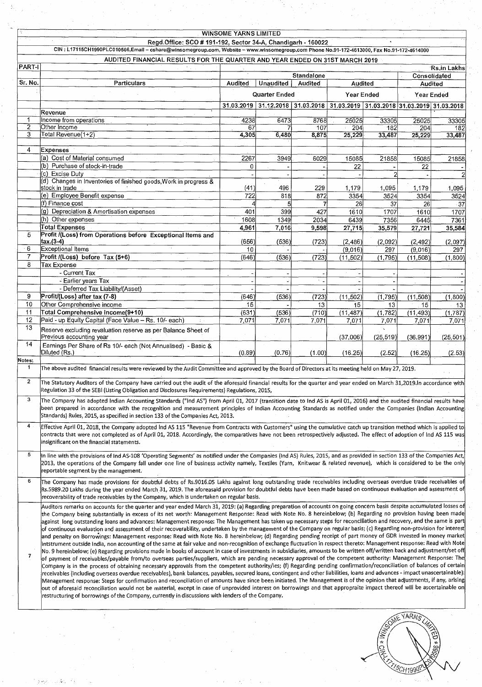| <b>WINSOME YARNS LIMITED</b> |                                                                                                                                                                                                                                                                                                                                                                                                                                                                                                                                                                                                                                                                                                                                                                                                                                                                                                                                                                                                                                                                                                                                                                                                                                                                                                                                                                                                                                                                                                                                                                                                                                                                                                                                                                                                                                                                                                                                                                                                                                                                                                                                                                                                                 |               |             |              |                                                                              |                           |                     |                |  |  |
|------------------------------|-----------------------------------------------------------------------------------------------------------------------------------------------------------------------------------------------------------------------------------------------------------------------------------------------------------------------------------------------------------------------------------------------------------------------------------------------------------------------------------------------------------------------------------------------------------------------------------------------------------------------------------------------------------------------------------------------------------------------------------------------------------------------------------------------------------------------------------------------------------------------------------------------------------------------------------------------------------------------------------------------------------------------------------------------------------------------------------------------------------------------------------------------------------------------------------------------------------------------------------------------------------------------------------------------------------------------------------------------------------------------------------------------------------------------------------------------------------------------------------------------------------------------------------------------------------------------------------------------------------------------------------------------------------------------------------------------------------------------------------------------------------------------------------------------------------------------------------------------------------------------------------------------------------------------------------------------------------------------------------------------------------------------------------------------------------------------------------------------------------------------------------------------------------------------------------------------------------------|---------------|-------------|--------------|------------------------------------------------------------------------------|---------------------------|---------------------|----------------|--|--|
|                              | Regd.Office: SCO # 191-192, Sector 34-A, Chandigarh - 160022                                                                                                                                                                                                                                                                                                                                                                                                                                                                                                                                                                                                                                                                                                                                                                                                                                                                                                                                                                                                                                                                                                                                                                                                                                                                                                                                                                                                                                                                                                                                                                                                                                                                                                                                                                                                                                                                                                                                                                                                                                                                                                                                                    |               |             |              |                                                                              |                           |                     |                |  |  |
|                              | CIN: L17115CH1990PLC010566,Email - cshare@winsomegroup.com, Website - www.winsomegroup.com Phone No.91-172-4613000, Fax No.91-172-4614000                                                                                                                                                                                                                                                                                                                                                                                                                                                                                                                                                                                                                                                                                                                                                                                                                                                                                                                                                                                                                                                                                                                                                                                                                                                                                                                                                                                                                                                                                                                                                                                                                                                                                                                                                                                                                                                                                                                                                                                                                                                                       |               |             |              |                                                                              |                           |                     |                |  |  |
| <b>PART-I</b>                | AUDITED FINANCIAL RESULTS FOR THE QUARTER AND YEAR ENDED ON 31ST MARCH 2019                                                                                                                                                                                                                                                                                                                                                                                                                                                                                                                                                                                                                                                                                                                                                                                                                                                                                                                                                                                                                                                                                                                                                                                                                                                                                                                                                                                                                                                                                                                                                                                                                                                                                                                                                                                                                                                                                                                                                                                                                                                                                                                                     |               |             |              |                                                                              |                           |                     | Rs.in Lakhs    |  |  |
|                              |                                                                                                                                                                                                                                                                                                                                                                                                                                                                                                                                                                                                                                                                                                                                                                                                                                                                                                                                                                                                                                                                                                                                                                                                                                                                                                                                                                                                                                                                                                                                                                                                                                                                                                                                                                                                                                                                                                                                                                                                                                                                                                                                                                                                                 |               |             | Standalone   |                                                                              |                           | <b>Consolidated</b> |                |  |  |
| Sr. No.                      | <b>Particulars</b>                                                                                                                                                                                                                                                                                                                                                                                                                                                                                                                                                                                                                                                                                                                                                                                                                                                                                                                                                                                                                                                                                                                                                                                                                                                                                                                                                                                                                                                                                                                                                                                                                                                                                                                                                                                                                                                                                                                                                                                                                                                                                                                                                                                              | Audited       | Unaudited   | Audited      |                                                                              | <b>Audited</b><br>Audited |                     |                |  |  |
|                              |                                                                                                                                                                                                                                                                                                                                                                                                                                                                                                                                                                                                                                                                                                                                                                                                                                                                                                                                                                                                                                                                                                                                                                                                                                                                                                                                                                                                                                                                                                                                                                                                                                                                                                                                                                                                                                                                                                                                                                                                                                                                                                                                                                                                                 | Quarter Ended |             | Year Ended   |                                                                              | Year Ended                |                     |                |  |  |
|                              |                                                                                                                                                                                                                                                                                                                                                                                                                                                                                                                                                                                                                                                                                                                                                                                                                                                                                                                                                                                                                                                                                                                                                                                                                                                                                                                                                                                                                                                                                                                                                                                                                                                                                                                                                                                                                                                                                                                                                                                                                                                                                                                                                                                                                 |               |             |              | 31.03.2019 31.12.2018 31.03.2018 31.03.2019 31.03.2018 31.03.2019 31.03.2018 |                           |                     |                |  |  |
|                              | Revenue                                                                                                                                                                                                                                                                                                                                                                                                                                                                                                                                                                                                                                                                                                                                                                                                                                                                                                                                                                                                                                                                                                                                                                                                                                                                                                                                                                                                                                                                                                                                                                                                                                                                                                                                                                                                                                                                                                                                                                                                                                                                                                                                                                                                         |               |             |              |                                                                              |                           |                     |                |  |  |
| 1.                           | Income from operations                                                                                                                                                                                                                                                                                                                                                                                                                                                                                                                                                                                                                                                                                                                                                                                                                                                                                                                                                                                                                                                                                                                                                                                                                                                                                                                                                                                                                                                                                                                                                                                                                                                                                                                                                                                                                                                                                                                                                                                                                                                                                                                                                                                          | 4238          | 6473        | 8768         | 25025                                                                        | 33305                     | 25025               | 33305          |  |  |
| 2<br>3                       | Other Income<br>Total Revenue(1+2)                                                                                                                                                                                                                                                                                                                                                                                                                                                                                                                                                                                                                                                                                                                                                                                                                                                                                                                                                                                                                                                                                                                                                                                                                                                                                                                                                                                                                                                                                                                                                                                                                                                                                                                                                                                                                                                                                                                                                                                                                                                                                                                                                                              | 67<br>4,305   | 6,480       | 107<br>8,875 | $-204$<br>25,229                                                             | 182<br>33,487             | 204<br>25,229       | 182<br>33,487  |  |  |
|                              |                                                                                                                                                                                                                                                                                                                                                                                                                                                                                                                                                                                                                                                                                                                                                                                                                                                                                                                                                                                                                                                                                                                                                                                                                                                                                                                                                                                                                                                                                                                                                                                                                                                                                                                                                                                                                                                                                                                                                                                                                                                                                                                                                                                                                 |               |             |              |                                                                              |                           |                     |                |  |  |
| 4                            | <b>Expenses</b>                                                                                                                                                                                                                                                                                                                                                                                                                                                                                                                                                                                                                                                                                                                                                                                                                                                                                                                                                                                                                                                                                                                                                                                                                                                                                                                                                                                                                                                                                                                                                                                                                                                                                                                                                                                                                                                                                                                                                                                                                                                                                                                                                                                                 |               |             |              |                                                                              |                           |                     |                |  |  |
|                              | (a) Cost of Material consumed                                                                                                                                                                                                                                                                                                                                                                                                                                                                                                                                                                                                                                                                                                                                                                                                                                                                                                                                                                                                                                                                                                                                                                                                                                                                                                                                                                                                                                                                                                                                                                                                                                                                                                                                                                                                                                                                                                                                                                                                                                                                                                                                                                                   | 2267          | 3949        | 6029         | 15085                                                                        | 21858                     | 15085               | 21858          |  |  |
|                              | (b) Purchase of stock-in-trade                                                                                                                                                                                                                                                                                                                                                                                                                                                                                                                                                                                                                                                                                                                                                                                                                                                                                                                                                                                                                                                                                                                                                                                                                                                                                                                                                                                                                                                                                                                                                                                                                                                                                                                                                                                                                                                                                                                                                                                                                                                                                                                                                                                  | $\mathbf 0$   |             |              | 22                                                                           |                           | 22                  |                |  |  |
|                              | (c) Excise Duty<br>(d) Changes in Inventories of finished goods, Work in progress &                                                                                                                                                                                                                                                                                                                                                                                                                                                                                                                                                                                                                                                                                                                                                                                                                                                                                                                                                                                                                                                                                                                                                                                                                                                                                                                                                                                                                                                                                                                                                                                                                                                                                                                                                                                                                                                                                                                                                                                                                                                                                                                             |               |             |              |                                                                              |                           |                     |                |  |  |
|                              | stock in trade                                                                                                                                                                                                                                                                                                                                                                                                                                                                                                                                                                                                                                                                                                                                                                                                                                                                                                                                                                                                                                                                                                                                                                                                                                                                                                                                                                                                                                                                                                                                                                                                                                                                                                                                                                                                                                                                                                                                                                                                                                                                                                                                                                                                  | (41)          | 496         | 229          | 1,179                                                                        | 1,095                     | 1,179               | 1,095          |  |  |
|                              | (e) Employee Benefit expense                                                                                                                                                                                                                                                                                                                                                                                                                                                                                                                                                                                                                                                                                                                                                                                                                                                                                                                                                                                                                                                                                                                                                                                                                                                                                                                                                                                                                                                                                                                                                                                                                                                                                                                                                                                                                                                                                                                                                                                                                                                                                                                                                                                    | 722           | 818         | 872          | 3354                                                                         | 3524                      | 3354                | 3524           |  |  |
|                              | (f) Finance <b>c</b> ost                                                                                                                                                                                                                                                                                                                                                                                                                                                                                                                                                                                                                                                                                                                                                                                                                                                                                                                                                                                                                                                                                                                                                                                                                                                                                                                                                                                                                                                                                                                                                                                                                                                                                                                                                                                                                                                                                                                                                                                                                                                                                                                                                                                        |               | 5           |              | 26                                                                           | 37                        | 26                  | -37            |  |  |
|                              | (g) Depreciation & Amortisation expenses<br>(h) Other expenses                                                                                                                                                                                                                                                                                                                                                                                                                                                                                                                                                                                                                                                                                                                                                                                                                                                                                                                                                                                                                                                                                                                                                                                                                                                                                                                                                                                                                                                                                                                                                                                                                                                                                                                                                                                                                                                                                                                                                                                                                                                                                                                                                  | 401<br>1608   | 399<br>1349 | 427<br>2034  | 1610<br>6439                                                                 | 1707<br>7356              | 1610<br>6445        | 1707<br>7361   |  |  |
|                              | Total Expenses                                                                                                                                                                                                                                                                                                                                                                                                                                                                                                                                                                                                                                                                                                                                                                                                                                                                                                                                                                                                                                                                                                                                                                                                                                                                                                                                                                                                                                                                                                                                                                                                                                                                                                                                                                                                                                                                                                                                                                                                                                                                                                                                                                                                  | 4.961         | 7,016       | 9,598        | 27,715                                                                       | 35,579                    | 27,721              | 35,584         |  |  |
| 5                            | Profit /(Loss) from Operations before Exceptional Items and                                                                                                                                                                                                                                                                                                                                                                                                                                                                                                                                                                                                                                                                                                                                                                                                                                                                                                                                                                                                                                                                                                                                                                                                                                                                                                                                                                                                                                                                                                                                                                                                                                                                                                                                                                                                                                                                                                                                                                                                                                                                                                                                                     |               |             |              |                                                                              |                           |                     |                |  |  |
|                              | (1-3).(3)                                                                                                                                                                                                                                                                                                                                                                                                                                                                                                                                                                                                                                                                                                                                                                                                                                                                                                                                                                                                                                                                                                                                                                                                                                                                                                                                                                                                                                                                                                                                                                                                                                                                                                                                                                                                                                                                                                                                                                                                                                                                                                                                                                                                       | (656)         | (536)       | (723)        | (2, 486)                                                                     | (2,092)                   | (2, 492)            | (2,097)        |  |  |
| 6<br>7                       | Exceptional Items<br>Profit /(Loss) before Tax (5+6)                                                                                                                                                                                                                                                                                                                                                                                                                                                                                                                                                                                                                                                                                                                                                                                                                                                                                                                                                                                                                                                                                                                                                                                                                                                                                                                                                                                                                                                                                                                                                                                                                                                                                                                                                                                                                                                                                                                                                                                                                                                                                                                                                            | 10<br>(646)   | (536)       | (723)        | (9,016)<br>(11,502)                                                          | 297<br>(1,795)            | (9,016)<br>(11,508) | 297<br>(1,800) |  |  |
| 8                            | Tax Expense                                                                                                                                                                                                                                                                                                                                                                                                                                                                                                                                                                                                                                                                                                                                                                                                                                                                                                                                                                                                                                                                                                                                                                                                                                                                                                                                                                                                                                                                                                                                                                                                                                                                                                                                                                                                                                                                                                                                                                                                                                                                                                                                                                                                     |               |             |              |                                                                              |                           |                     |                |  |  |
|                              | - Current Tax                                                                                                                                                                                                                                                                                                                                                                                                                                                                                                                                                                                                                                                                                                                                                                                                                                                                                                                                                                                                                                                                                                                                                                                                                                                                                                                                                                                                                                                                                                                                                                                                                                                                                                                                                                                                                                                                                                                                                                                                                                                                                                                                                                                                   |               |             |              |                                                                              |                           |                     |                |  |  |
|                              | - Earlier years Tax                                                                                                                                                                                                                                                                                                                                                                                                                                                                                                                                                                                                                                                                                                                                                                                                                                                                                                                                                                                                                                                                                                                                                                                                                                                                                                                                                                                                                                                                                                                                                                                                                                                                                                                                                                                                                                                                                                                                                                                                                                                                                                                                                                                             |               |             |              |                                                                              |                           |                     |                |  |  |
|                              | - Deferred Tax Liability/(Asset)                                                                                                                                                                                                                                                                                                                                                                                                                                                                                                                                                                                                                                                                                                                                                                                                                                                                                                                                                                                                                                                                                                                                                                                                                                                                                                                                                                                                                                                                                                                                                                                                                                                                                                                                                                                                                                                                                                                                                                                                                                                                                                                                                                                |               |             |              |                                                                              |                           |                     |                |  |  |
| 9<br>10                      | Profit/(Loss) after tax (7-8)<br>Other Comprehensive income                                                                                                                                                                                                                                                                                                                                                                                                                                                                                                                                                                                                                                                                                                                                                                                                                                                                                                                                                                                                                                                                                                                                                                                                                                                                                                                                                                                                                                                                                                                                                                                                                                                                                                                                                                                                                                                                                                                                                                                                                                                                                                                                                     | (646)         | (536)       | (723)        | (11, 502)                                                                    | (1,795)                   | (11,508)            | (1,800)        |  |  |
| 11                           | Total Comprehensive income(9+10)                                                                                                                                                                                                                                                                                                                                                                                                                                                                                                                                                                                                                                                                                                                                                                                                                                                                                                                                                                                                                                                                                                                                                                                                                                                                                                                                                                                                                                                                                                                                                                                                                                                                                                                                                                                                                                                                                                                                                                                                                                                                                                                                                                                | 15<br>(631)   | (536)       | 13<br>(710)  | 15 <sub>1</sub><br>(11, 487)                                                 | 13<br>(1,782)             | 15<br>(11, 493)     | 13<br>(1,787)  |  |  |
| 12                           | Paid - up Equity Capital (Face Value - Rs. 10/- each)                                                                                                                                                                                                                                                                                                                                                                                                                                                                                                                                                                                                                                                                                                                                                                                                                                                                                                                                                                                                                                                                                                                                                                                                                                                                                                                                                                                                                                                                                                                                                                                                                                                                                                                                                                                                                                                                                                                                                                                                                                                                                                                                                           | 7,071         | 7,071       | 7,071        | 7,071                                                                        | 7,071                     | 7,071               | 7,071          |  |  |
| 13                           | Reserve excluding revaluation reserve as per Balance Sheet of<br>Previous accounting year                                                                                                                                                                                                                                                                                                                                                                                                                                                                                                                                                                                                                                                                                                                                                                                                                                                                                                                                                                                                                                                                                                                                                                                                                                                                                                                                                                                                                                                                                                                                                                                                                                                                                                                                                                                                                                                                                                                                                                                                                                                                                                                       |               |             |              | (37,006)                                                                     | (25, 519)                 | (36, 991)           | (25, 501)      |  |  |
| 14                           | Earnings Per Share of Rs 10/- each (Not Annualised) - Basic &<br>Diluted (Rs.)                                                                                                                                                                                                                                                                                                                                                                                                                                                                                                                                                                                                                                                                                                                                                                                                                                                                                                                                                                                                                                                                                                                                                                                                                                                                                                                                                                                                                                                                                                                                                                                                                                                                                                                                                                                                                                                                                                                                                                                                                                                                                                                                  | (0.89)        | (0.76)      | (1.00)       | (16.25)                                                                      | (2.52)                    | (16.25)             | (2.53)         |  |  |
| Notes:<br>1.                 |                                                                                                                                                                                                                                                                                                                                                                                                                                                                                                                                                                                                                                                                                                                                                                                                                                                                                                                                                                                                                                                                                                                                                                                                                                                                                                                                                                                                                                                                                                                                                                                                                                                                                                                                                                                                                                                                                                                                                                                                                                                                                                                                                                                                                 |               |             |              |                                                                              |                           |                     |                |  |  |
|                              | The above audited financial results were reviewed by the Audit Committee and approved by the Board of Directors at its meeting held on May 27, 2019.                                                                                                                                                                                                                                                                                                                                                                                                                                                                                                                                                                                                                                                                                                                                                                                                                                                                                                                                                                                                                                                                                                                                                                                                                                                                                                                                                                                                                                                                                                                                                                                                                                                                                                                                                                                                                                                                                                                                                                                                                                                            |               |             |              |                                                                              |                           |                     |                |  |  |
| $\overline{c}$               | The Statutory Auditors of the Company have carried out the audit of the aforesaid financial results for the quarter and year ended on March 31,2019.In accordance with<br>Regulation 33 of the SEBI (Listing Obligation and Disclosures Requirements) Regulations, 2015,                                                                                                                                                                                                                                                                                                                                                                                                                                                                                                                                                                                                                                                                                                                                                                                                                                                                                                                                                                                                                                                                                                                                                                                                                                                                                                                                                                                                                                                                                                                                                                                                                                                                                                                                                                                                                                                                                                                                        |               |             |              |                                                                              |                           |                     |                |  |  |
|                              | The Company has adopted Indian Accounting Standards ("Ind AS") from April 01, 2017 (transition date to Ind AS is April 01, 2016) and the audited financial results have<br>been prepared in accordance with the recognition and measurement principles of Indian Accounting Standards as notified under the Companies (Indian Accounting)<br>Standards) Rules, 2015, as specified in section 133 of the Companies Act, 2013.                                                                                                                                                                                                                                                                                                                                                                                                                                                                                                                                                                                                                                                                                                                                                                                                                                                                                                                                                                                                                                                                                                                                                                                                                                                                                                                                                                                                                                                                                                                                                                                                                                                                                                                                                                                    |               |             |              |                                                                              |                           |                     |                |  |  |
| 4 <sup>1</sup>               | Effective April 01, 2018, the Company adopted Ind AS 115 "Revenue from Contracts with Customers" using the cumulative catch up transition method which is applied to                                                                                                                                                                                                                                                                                                                                                                                                                                                                                                                                                                                                                                                                                                                                                                                                                                                                                                                                                                                                                                                                                                                                                                                                                                                                                                                                                                                                                                                                                                                                                                                                                                                                                                                                                                                                                                                                                                                                                                                                                                            |               |             |              |                                                                              |                           |                     |                |  |  |
|                              | contracts that were not completed as of April 01, 2018. Accordingly, the comparatives have not been retrospectively adjusted. The effect of adoption of Ind AS 115 was<br>insignificant on the financial statements.                                                                                                                                                                                                                                                                                                                                                                                                                                                                                                                                                                                                                                                                                                                                                                                                                                                                                                                                                                                                                                                                                                                                                                                                                                                                                                                                                                                                                                                                                                                                                                                                                                                                                                                                                                                                                                                                                                                                                                                            |               |             |              |                                                                              |                           |                     |                |  |  |
| 5                            | in line with the provisions of Ind AS-108 'Operating Segments' as notified under the Companies (Ind AS) Rules, 2015, and as provided in section 133 of the Companies Act,<br>2013, the operations of the Company fall under one line of business activity namely, Textiles (Yarn, Knitwear & related revenue), which is considered to be the only<br>reportable segment by the management.                                                                                                                                                                                                                                                                                                                                                                                                                                                                                                                                                                                                                                                                                                                                                                                                                                                                                                                                                                                                                                                                                                                                                                                                                                                                                                                                                                                                                                                                                                                                                                                                                                                                                                                                                                                                                      |               |             |              |                                                                              |                           |                     |                |  |  |
| 6                            | The Company has made provisions for doubtful debts of Rs.9016.05 Lakhs against long outstanding trade receivables including overseas overdue trade receivables of<br>Rs.5989.20 Lakhs during the year ended March 31, 2019. The aforeasaid provision for doubtful debts have been made based on continuous evaluation and assessment of<br>recoverability of trade receivables by the Company, which is undertaken on regular basis.                                                                                                                                                                                                                                                                                                                                                                                                                                                                                                                                                                                                                                                                                                                                                                                                                                                                                                                                                                                                                                                                                                                                                                                                                                                                                                                                                                                                                                                                                                                                                                                                                                                                                                                                                                            |               |             |              |                                                                              |                           |                     |                |  |  |
| 7                            | Auditors remarks on accounts for the quarter and year ended March 31, 2019: (a) Regarding preparation of accounts on going concern basis despite accumulated losses of<br>the Company being substantially in excess of its net worth: Management Response: Read with Note No. 8 hereinbelow; (b) Regarding no provision having been made<br>against long outstanding loans and advances: Management response: The Management has taken up necessary steps for reconciliation and recovery, and the same is parti<br>of continuous evaluation and assessment of their recoverability, undertaken by the management of the Company on regular basis; (c) Regarding non-provision for interest<br>and penalty on Borrowings: Management response: Read with Note No. 8 hereinbelow; (d) Regarding pending receipt of part money of GDR invested in money market<br>intstrument outside India, non accounting of the same at fair value and non-recognition of exchange fluctuation in respect thereto: Management response: Read with Note<br>No. 9 hereinbelow; (e) Regarding provisions made in books of account in case of investments in subsidiaries, amounts to be written off/written back and adjustment/set off <br>of payment of receivables/payable from/to overseas parties/suppliers, which are pending necessary approval of the competent authority: Management Response: The<br>Company is in the process of obtaining necessary approvals from the competent authority/ies; (f) Regarding pending confirmation/reconciliation of balances of certain<br> receivables (including overseas overdue recelvables), bank balances, payables, secured loans, contingent and other liabilities, loans and advances - impact unascertainable):<br>Management response: Steps for confirmation and reconciliation of amounts have since been initiated. The Management is of the opinion that adjustments, if any, arising<br>out of aforesaid reconciliation would not be material, except in case of unprovided interest on borrowings and that appropraite impact thereof will be ascertainable on<br>restructuring of borrowings of the Company, currently in discussions with lenders of the Company. |               |             |              |                                                                              |                           |                     |                |  |  |
|                              |                                                                                                                                                                                                                                                                                                                                                                                                                                                                                                                                                                                                                                                                                                                                                                                                                                                                                                                                                                                                                                                                                                                                                                                                                                                                                                                                                                                                                                                                                                                                                                                                                                                                                                                                                                                                                                                                                                                                                                                                                                                                                                                                                                                                                 |               |             |              |                                                                              |                           | <b>TARNS</b>        |                |  |  |

ta<br>P

 $\frac{1}{\gamma}$ 

 $\langle \cdot \rangle_{\mathbb{R}}$ 

Pyr

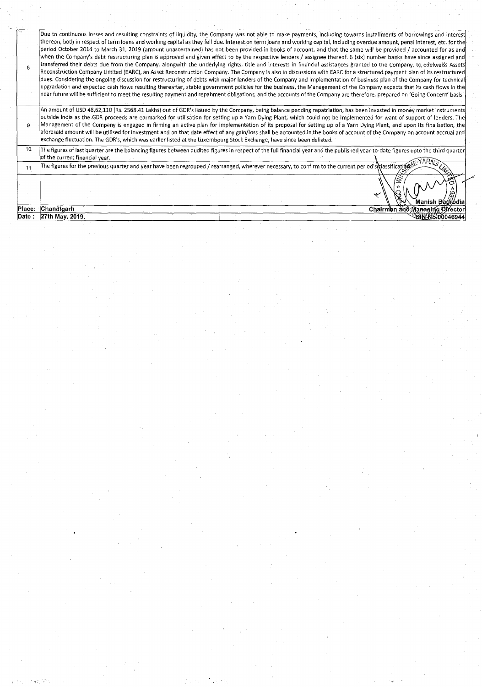| 8       | Due to continuous losses and resulting constraints of liquidity, the Company was not able to make payments, including towards installments of borrowings and interest<br>thereon, both in respect of term loans and working capital as they fell due. Interest on term loans and working capital, including overdue amount, penal interest, etc. for the<br>lperiod October 2014 to March 31, 2019 (amount unascertained) has not been provided in books of account, and that the same will be provided / accounted for as and<br>when the Company's debt restructuring plan is approved and given effect to by the respective lenders / assignee thereof. 6 (six) number banks have since assigned and<br>transferred their debts due from the Company, alongwith the underlying rights, title and interests in financial assistances granted to the Company, to Edelweiss Assets<br>Reconstruction Company Limited (EARC), an Asset Reconstruction Company. The Company is also in discussions with EARC for a structured payment plan of its restructured<br>dues. Considering the ongoing discussion for restructuring of debts with major lenders of the Company and implementation of business plan of the Company for technical<br>upgradation and expected cash flows resulting thereafter, stable government policies for the business, the Management of the Company expects that its cash flows in the<br>near future will be sufficient to meet the resulting payment and repahment obligations, and the accounts of the Company are therefore, prepared on 'Going Concern' basis. |
|---------|------------------------------------------------------------------------------------------------------------------------------------------------------------------------------------------------------------------------------------------------------------------------------------------------------------------------------------------------------------------------------------------------------------------------------------------------------------------------------------------------------------------------------------------------------------------------------------------------------------------------------------------------------------------------------------------------------------------------------------------------------------------------------------------------------------------------------------------------------------------------------------------------------------------------------------------------------------------------------------------------------------------------------------------------------------------------------------------------------------------------------------------------------------------------------------------------------------------------------------------------------------------------------------------------------------------------------------------------------------------------------------------------------------------------------------------------------------------------------------------------------------------------------------------------------------------------------------------------|
| 9       | An amount of USD 48,62,110 (Rs. 2568.41 Lakhs) out of GDR's issued by the Company, being balance pending repatriation, has been invested in money market instruments<br>outside India as the GDR proceeds are earmarked for utilisation for setting up a Yarn Dying Plant, which could not be implemented for want of support of lenders. The<br>Management of the Company is engaged in firming an active plan for implementation of its proposal for setting up of a Yarn Dying Plant, and upon its finalisation, the<br>aforesaid amount will be utilised for investment and on that date effect of any gain/loss shall be accounted in the books of account of the Company on account accrual and<br>exchange fluctuation. The GDR's, which was earlier listed at the Luxembourg Stock Exchange, have since been delisted.                                                                                                                                                                                                                                                                                                                                                                                                                                                                                                                                                                                                                                                                                                                                                                 |
| 10      | The figures of last quarter are the balancing figures between audited figures in respect of the full financial year and the published year-to-date figures upto the third quarter<br>of the current financial year.                                                                                                                                                                                                                                                                                                                                                                                                                                                                                                                                                                                                                                                                                                                                                                                                                                                                                                                                                                                                                                                                                                                                                                                                                                                                                                                                                                            |
| 11      | The figures for the previous quarter and year have been regrouped / rearranged, wherever necessary, to confirm to the current period's classification $\mathbb{N}$                                                                                                                                                                                                                                                                                                                                                                                                                                                                                                                                                                                                                                                                                                                                                                                                                                                                                                                                                                                                                                                                                                                                                                                                                                                                                                                                                                                                                             |
|         | ↞<br>Manish Bagi odia                                                                                                                                                                                                                                                                                                                                                                                                                                                                                                                                                                                                                                                                                                                                                                                                                                                                                                                                                                                                                                                                                                                                                                                                                                                                                                                                                                                                                                                                                                                                                                          |
| Place:∴ | Chandigarh<br>Chairman and Managing Director                                                                                                                                                                                                                                                                                                                                                                                                                                                                                                                                                                                                                                                                                                                                                                                                                                                                                                                                                                                                                                                                                                                                                                                                                                                                                                                                                                                                                                                                                                                                                   |
| Date :  | 27th May, 2019.<br>E2IN N88:00046944\                                                                                                                                                                                                                                                                                                                                                                                                                                                                                                                                                                                                                                                                                                                                                                                                                                                                                                                                                                                                                                                                                                                                                                                                                                                                                                                                                                                                                                                                                                                                                          |

 $\label{eq:1} \mathcal{F}(\mathcal{F}_{\mathcal{A}}) = \mathcal{F}(\mathcal{F}_{\mathcal{A}}) = \mathcal{F}(\mathcal{F}_{\mathcal{A}}) = \mathcal{F}(\mathcal{F}_{\mathcal{A}}) = \mathcal{F}(\mathcal{F}_{\mathcal{A}})$ 

 $\label{eq:2.1} \frac{1}{\sqrt{2\pi}}\int_{0}^{\infty}\frac{1}{\sqrt{2\pi}}\left(\frac{1}{\sqrt{2\pi}}\right)^{2\alpha} \frac{d\alpha}{\sqrt{2\pi}}\,d\beta$ 

 $\langle \hat{A}^{\dagger} \hat{A}^{\dagger} \rangle$